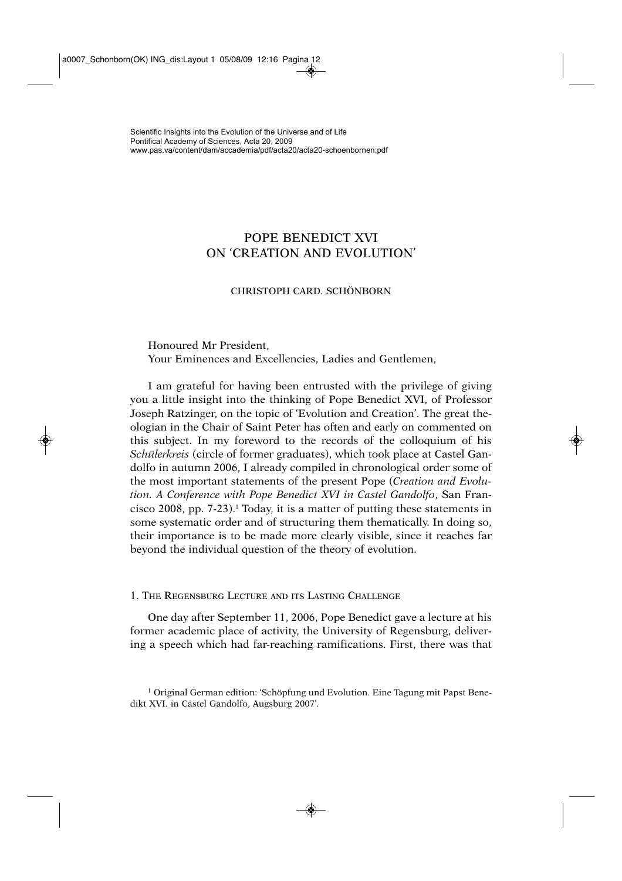# POPE BENEDICT XVI ON 'CREATION AND EVOLUTION'

# CHRISTOPH CARD. SCHÖNBORN

Honoured Mr President, Your Eminences and Excellencies, Ladies and Gentlemen,

I am grateful for having been entrusted with the privilege of giving you a little insight into the thinking of Pope Benedict XVI, of Professor Joseph Ratzinger, on the topic of 'Evolution and Creation'. The great theologian in the Chair of Saint Peter has often and early on commented on this subject. In my foreword to the records of the colloquium of his *Schülerkreis* (circle of former graduates), which took place at Castel Gandolfo in autumn 2006, I already compiled in chronological order some of the most important statements of the present Pope (*Creation and Evolution. A Conference with Pope Benedict XVI in Castel Gandolfo*, San Francisco 2008, pp. 7-23).1 Today, it is a matter of putting these statements in some systematic order and of structuring them thematically. In doing so, their importance is to be made more clearly visible, since it reaches far beyond the individual question of the theory of evolution.

1. THE REGENSBURG LECTURE AND ITS LASTING CHALLENGE

One day after September 11, 2006, Pope Benedict gave a lecture at his former academic place of activity, the University of Regensburg, delivering a speech which had far-reaching ramifications. First, there was that

<sup>1</sup> Original German edition: 'Schöpfung und Evolution. Eine Tagung mit Papst Benedikt XVI. in Castel Gandolfo, Augsburg 2007'.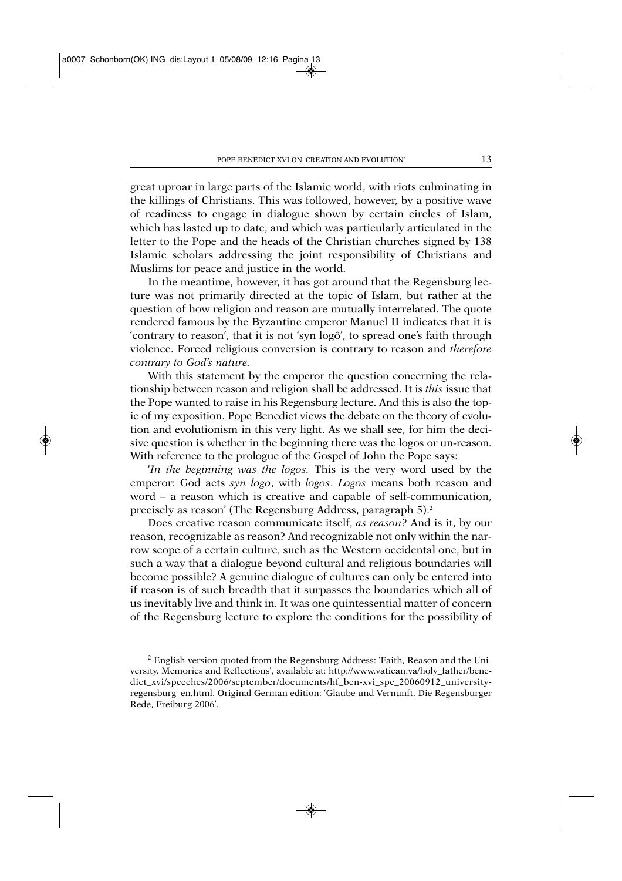great uproar in large parts of the Islamic world, with riots culminating in the killings of Christians. This was followed, however, by a positive wave of readiness to engage in dialogue shown by certain circles of Islam, which has lasted up to date, and which was particularly articulated in the letter to the Pope and the heads of the Christian churches signed by 138 Islamic scholars addressing the joint responsibility of Christians and Muslims for peace and justice in the world.

In the meantime, however, it has got around that the Regensburg lecture was not primarily directed at the topic of Islam, but rather at the question of how religion and reason are mutually interrelated. The quote rendered famous by the Byzantine emperor Manuel II indicates that it is 'contrary to reason', that it is not 'syn logô', to spread one's faith through violence. Forced religious conversion is contrary to reason and *therefore contrary to God's nature.*

With this statement by the emperor the question concerning the relationship between reason and religion shall be addressed. It is *this* issue that the Pope wanted to raise in his Regensburg lecture. And this is also the topic of my exposition. Pope Benedict views the debate on the theory of evolution and evolutionism in this very light. As we shall see, for him the decisive question is whether in the beginning there was the logos or un-reason. With reference to the prologue of the Gospel of John the Pope says:

'*In the beginning was the logos.* This is the very word used by the emperor: God acts *syn logo*, with *logos*. *Logos* means both reason and word – a reason which is creative and capable of self-communication, precisely as reason' (The Regensburg Address, paragraph 5).2

Does creative reason communicate itself, *as reason?* And is it, by our reason, recognizable as reason? And recognizable not only within the narrow scope of a certain culture, such as the Western occidental one, but in such a way that a dialogue beyond cultural and religious boundaries will become possible? A genuine dialogue of cultures can only be entered into if reason is of such breadth that it surpasses the boundaries which all of us inevitably live and think in. It was one quintessential matter of concern of the Regensburg lecture to explore the conditions for the possibility of

<sup>2</sup> English version quoted from the Regensburg Address: 'Faith, Reason and the University. Memories and Reflections', available at: http://www.vatican.va/holy\_father/benedict\_xvi/speeches/2006/september/documents/hf\_ben-xvi\_spe\_20060912\_universityregensburg\_en.html. Original German edition: 'Glaube und Vernunft. Die Regensburger Rede, Freiburg 2006'.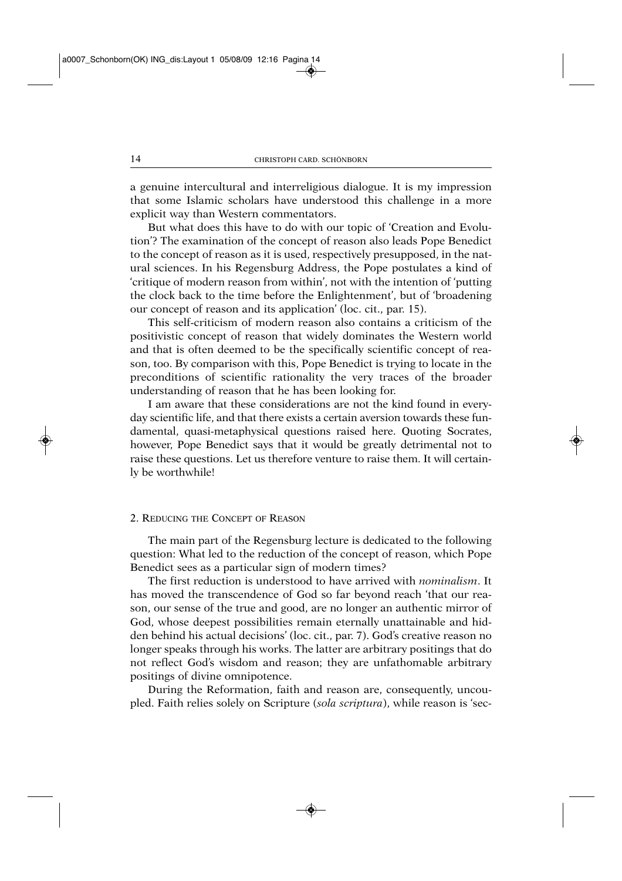a genuine intercultural and interreligious dialogue. It is my impression that some Islamic scholars have understood this challenge in a more explicit way than Western commentators.

But what does this have to do with our topic of 'Creation and Evolution'? The examination of the concept of reason also leads Pope Benedict to the concept of reason as it is used, respectively presupposed, in the natural sciences. In his Regensburg Address, the Pope postulates a kind of 'critique of modern reason from within', not with the intention of 'putting the clock back to the time before the Enlightenment', but of 'broadening our concept of reason and its application' (loc. cit., par. 15).

This self-criticism of modern reason also contains a criticism of the positivistic concept of reason that widely dominates the Western world and that is often deemed to be the specifically scientific concept of reason, too. By comparison with this, Pope Benedict is trying to locate in the preconditions of scientific rationality the very traces of the broader understanding of reason that he has been looking for.

I am aware that these considerations are not the kind found in everyday scientific life, and that there exists a certain aversion towards these fundamental, quasi-metaphysical questions raised here. Quoting Socrates, however, Pope Benedict says that it would be greatly detrimental not to raise these questions. Let us therefore venture to raise them. It will certainly be worthwhile!

#### 2. REDUCING THE CONCEPT OF REASON

The main part of the Regensburg lecture is dedicated to the following question: What led to the reduction of the concept of reason, which Pope Benedict sees as a particular sign of modern times?

The first reduction is understood to have arrived with *nominalism*. It has moved the transcendence of God so far beyond reach 'that our reason, our sense of the true and good, are no longer an authentic mirror of God, whose deepest possibilities remain eternally unattainable and hidden behind his actual decisions' (loc. cit., par. 7). God's creative reason no longer speaks through his works. The latter are arbitrary positings that do not reflect God's wisdom and reason; they are unfathomable arbitrary positings of divine omnipotence.

During the Reformation, faith and reason are, consequently, uncoupled. Faith relies solely on Scripture (*sola scriptura*), while reason is 'sec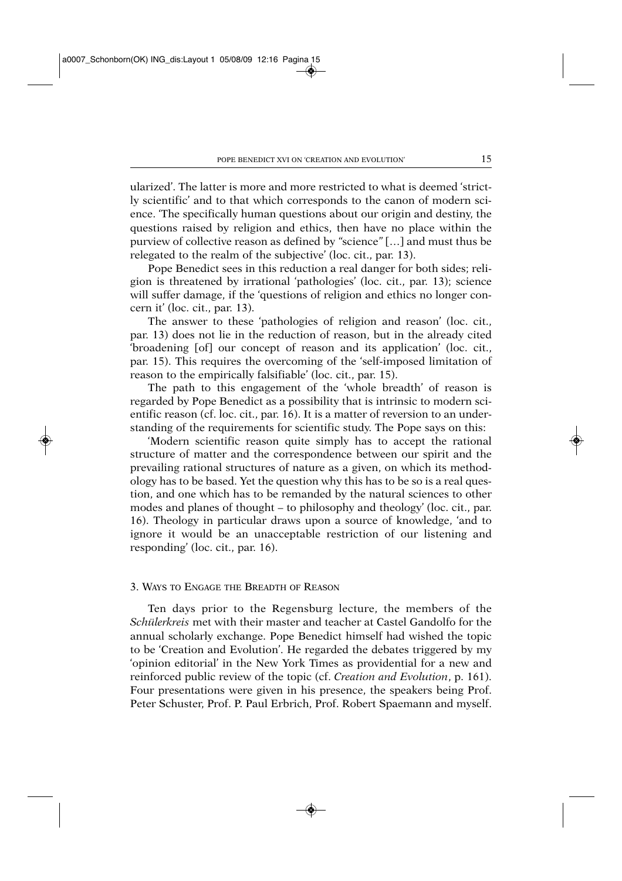ularized'. The latter is more and more restricted to what is deemed 'strictly scientific' and to that which corresponds to the canon of modern science. 'The specifically human questions about our origin and destiny, the questions raised by religion and ethics, then have no place within the purview of collective reason as defined by *"*science*"* […] and must thus be relegated to the realm of the subjective' (loc. cit., par. 13).

Pope Benedict sees in this reduction a real danger for both sides; religion is threatened by irrational 'pathologies' (loc. cit., par. 13); science will suffer damage, if the 'questions of religion and ethics no longer concern it' (loc. cit., par. 13).

The answer to these 'pathologies of religion and reason' (loc. cit., par. 13) does not lie in the reduction of reason, but in the already cited 'broadening [of] our concept of reason and its application' (loc. cit., par. 15). This requires the overcoming of the 'self-imposed limitation of reason to the empirically falsifiable' (loc. cit., par. 15).

The path to this engagement of the 'whole breadth' of reason is regarded by Pope Benedict as a possibility that is intrinsic to modern scientific reason (cf. loc. cit., par. 16). It is a matter of reversion to an understanding of the requirements for scientific study. The Pope says on this:

'Modern scientific reason quite simply has to accept the rational structure of matter and the correspondence between our spirit and the prevailing rational structures of nature as a given, on which its methodology has to be based. Yet the question why this has to be so is a real question, and one which has to be remanded by the natural sciences to other modes and planes of thought – to philosophy and theology' (loc. cit., par. 16). Theology in particular draws upon a source of knowledge, 'and to ignore it would be an unacceptable restriction of our listening and responding' (loc. cit., par. 16).

## 3. WAYS TO ENGAGE THE BREADTH OF REASON

Ten days prior to the Regensburg lecture, the members of the *Schülerkreis* met with their master and teacher at Castel Gandolfo for the annual scholarly exchange. Pope Benedict himself had wished the topic to be 'Creation and Evolution'. He regarded the debates triggered by my 'opinion editorial' in the New York Times as providential for a new and reinforced public review of the topic (cf. *Creation and Evolution*, p. 161). Four presentations were given in his presence, the speakers being Prof. Peter Schuster, Prof. P. Paul Erbrich, Prof. Robert Spaemann and myself.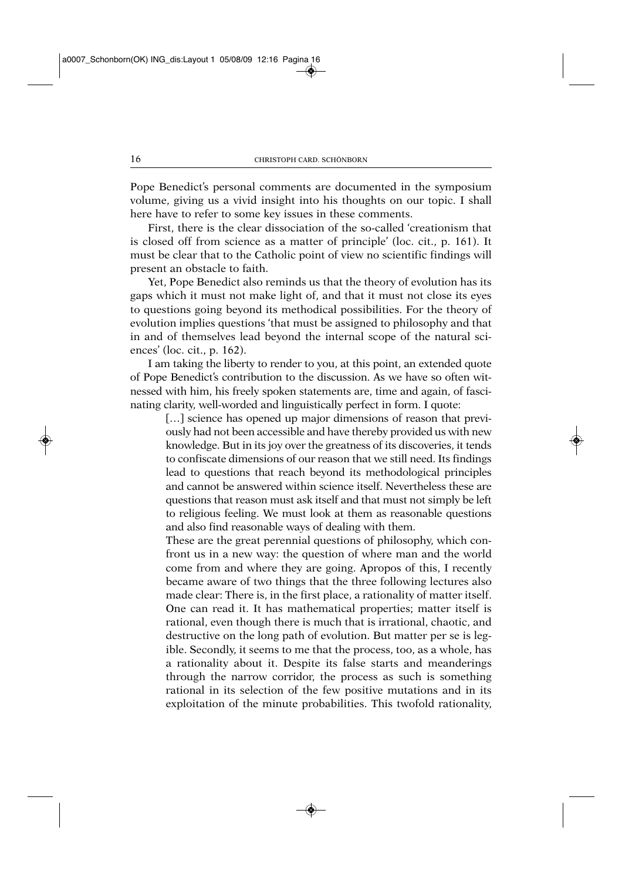Pope Benedict's personal comments are documented in the symposium volume, giving us a vivid insight into his thoughts on our topic. I shall here have to refer to some key issues in these comments.

First, there is the clear dissociation of the so-called 'creationism that is closed off from science as a matter of principle' (loc. cit., p. 161). It must be clear that to the Catholic point of view no scientific findings will present an obstacle to faith.

Yet, Pope Benedict also reminds us that the theory of evolution has its gaps which it must not make light of, and that it must not close its eyes to questions going beyond its methodical possibilities. For the theory of evolution implies questions 'that must be assigned to philosophy and that in and of themselves lead beyond the internal scope of the natural sciences' (loc. cit., p. 162).

I am taking the liberty to render to you, at this point, an extended quote of Pope Benedict's contribution to the discussion. As we have so often witnessed with him, his freely spoken statements are, time and again, of fascinating clarity, well-worded and linguistically perfect in form. I quote:

[...] science has opened up major dimensions of reason that previously had not been accessible and have thereby provided us with new knowledge. But in its joy over the greatness of its discoveries, it tends to confiscate dimensions of our reason that we still need. Its findings lead to questions that reach beyond its methodological principles and cannot be answered within science itself. Nevertheless these are questions that reason must ask itself and that must not simply be left to religious feeling. We must look at them as reasonable questions and also find reasonable ways of dealing with them.

These are the great perennial questions of philosophy, which confront us in a new way: the question of where man and the world come from and where they are going. Apropos of this, I recently became aware of two things that the three following lectures also made clear: There is, in the first place, a rationality of matter itself. One can read it. It has mathematical properties; matter itself is rational, even though there is much that is irrational, chaotic, and destructive on the long path of evolution. But matter per se is legible. Secondly, it seems to me that the process, too, as a whole, has a rationality about it. Despite its false starts and meanderings through the narrow corridor, the process as such is something rational in its selection of the few positive mutations and in its exploitation of the minute probabilities. This twofold rationality,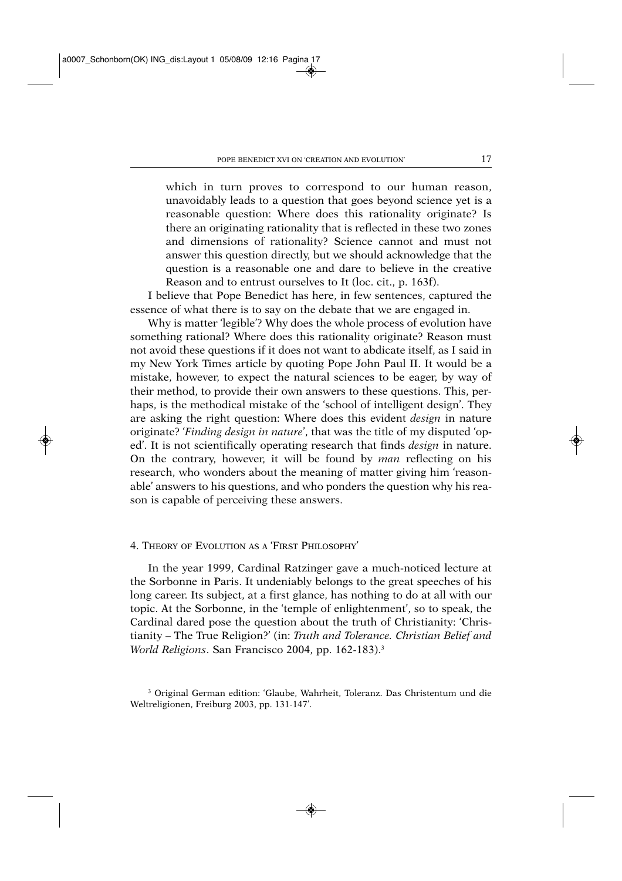which in turn proves to correspond to our human reason, unavoidably leads to a question that goes beyond science yet is a reasonable question: Where does this rationality originate? Is there an originating rationality that is reflected in these two zones and dimensions of rationality? Science cannot and must not answer this question directly, but we should acknowledge that the question is a reasonable one and dare to believe in the creative Reason and to entrust ourselves to It (loc. cit., p. 163f).

I believe that Pope Benedict has here, in few sentences, captured the essence of what there is to say on the debate that we are engaged in.

Why is matter 'legible'? Why does the whole process of evolution have something rational? Where does this rationality originate? Reason must not avoid these questions if it does not want to abdicate itself, as I said in my New York Times article by quoting Pope John Paul II. It would be a mistake, however, to expect the natural sciences to be eager, by way of their method, to provide their own answers to these questions. This, perhaps, is the methodical mistake of the 'school of intelligent design'. They are asking the right question: Where does this evident *design* in nature originate? '*Finding design in nature*', that was the title of my disputed 'oped'. It is not scientifically operating research that finds *design* in nature. On the contrary, however, it will be found by *man* reflecting on his research, who wonders about the meaning of matter giving him 'reasonable' answers to his questions, and who ponders the question why his reason is capable of perceiving these answers.

# 4. THEORY OF EVOLUTION AS A 'FIRST PHILOSOPHY'

In the year 1999, Cardinal Ratzinger gave a much-noticed lecture at the Sorbonne in Paris. It undeniably belongs to the great speeches of his long career. Its subject, at a first glance, has nothing to do at all with our topic. At the Sorbonne, in the 'temple of enlightenment', so to speak, the Cardinal dared pose the question about the truth of Christianity: 'Christianity – The True Religion?' (in: *Truth and Tolerance. Christian Belief and World Religions*. San Francisco 2004, pp. 162-183).3

<sup>3</sup> Original German edition: 'Glaube, Wahrheit, Toleranz. Das Christentum und die Weltreligionen, Freiburg 2003, pp. 131-147'.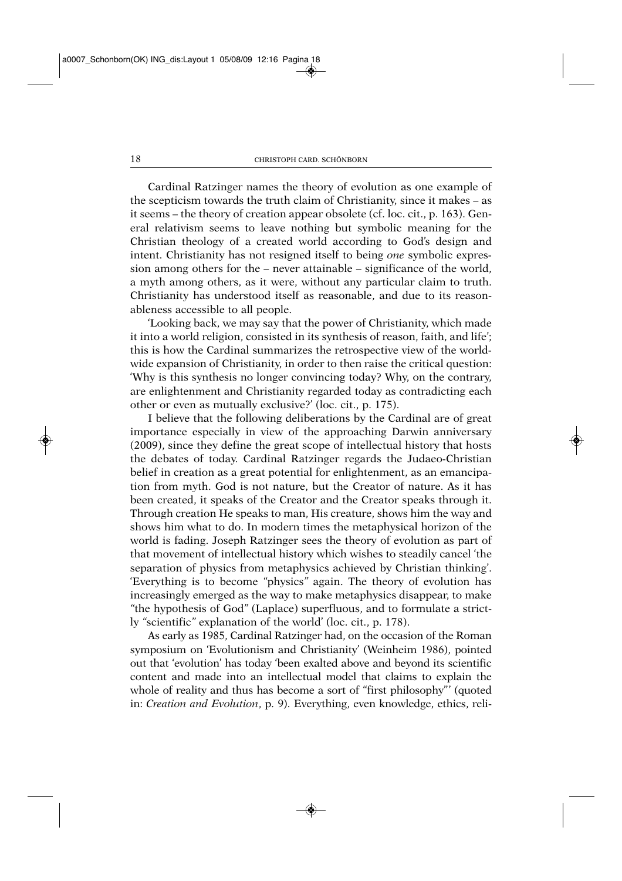Cardinal Ratzinger names the theory of evolution as one example of the scepticism towards the truth claim of Christianity, since it makes – as it seems – the theory of creation appear obsolete (cf. loc. cit., p. 163). General relativism seems to leave nothing but symbolic meaning for the Christian theology of a created world according to God's design and intent. Christianity has not resigned itself to being *one* symbolic expression among others for the – never attainable – significance of the world, a myth among others, as it were, without any particular claim to truth. Christianity has understood itself as reasonable, and due to its reasonableness accessible to all people.

'Looking back, we may say that the power of Christianity, which made it into a world religion, consisted in its synthesis of reason, faith, and life'; this is how the Cardinal summarizes the retrospective view of the worldwide expansion of Christianity, in order to then raise the critical question: 'Why is this synthesis no longer convincing today? Why, on the contrary, are enlightenment and Christianity regarded today as contradicting each other or even as mutually exclusive?' (loc. cit., p. 175).

I believe that the following deliberations by the Cardinal are of great importance especially in view of the approaching Darwin anniversary (2009), since they define the great scope of intellectual history that hosts the debates of today. Cardinal Ratzinger regards the Judaeo-Christian belief in creation as a great potential for enlightenment, as an emancipation from myth. God is not nature, but the Creator of nature. As it has been created, it speaks of the Creator and the Creator speaks through it. Through creation He speaks to man, His creature, shows him the way and shows him what to do. In modern times the metaphysical horizon of the world is fading. Joseph Ratzinger sees the theory of evolution as part of that movement of intellectual history which wishes to steadily cancel 'the separation of physics from metaphysics achieved by Christian thinking'. 'Everything is to become *"*physics*"* again. The theory of evolution has increasingly emerged as the way to make metaphysics disappear, to make *"*the hypothesis of God*"* (Laplace) superfluous, and to formulate a strictly *"*scientific*"* explanation of the world' (loc. cit., p. 178).

As early as 1985, Cardinal Ratzinger had, on the occasion of the Roman symposium on 'Evolutionism and Christianity' (Weinheim 1986), pointed out that 'evolution' has today 'been exalted above and beyond its scientific content and made into an intellectual model that claims to explain the whole of reality and thus has become a sort of "first philosophy"' (quoted in: *Creation and Evolution*, p. 9). Everything, even knowledge, ethics, reli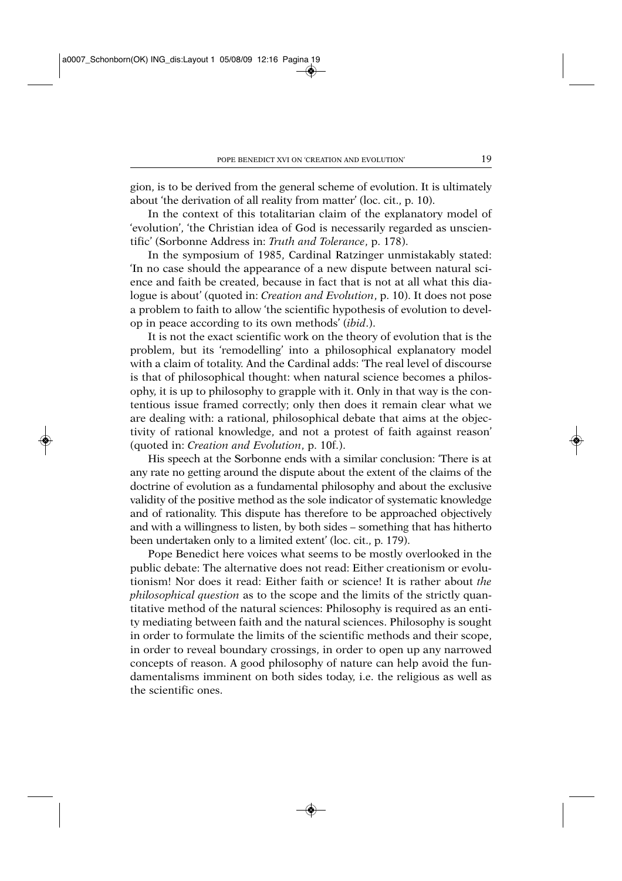gion, is to be derived from the general scheme of evolution. It is ultimately about 'the derivation of all reality from matter' (loc. cit., p. 10).

In the context of this totalitarian claim of the explanatory model of 'evolution', 'the Christian idea of God is necessarily regarded as unscientific' (Sorbonne Address in: *Truth and Tolerance*, p. 178).

In the symposium of 1985, Cardinal Ratzinger unmistakably stated: 'In no case should the appearance of a new dispute between natural science and faith be created, because in fact that is not at all what this dialogue is about' (quoted in: *Creation and Evolution*, p. 10). It does not pose a problem to faith to allow 'the scientific hypothesis of evolution to develop in peace according to its own methods' (*ibid*.).

It is not the exact scientific work on the theory of evolution that is the problem, but its 'remodelling' into a philosophical explanatory model with a claim of totality. And the Cardinal adds: 'The real level of discourse is that of philosophical thought: when natural science becomes a philosophy, it is up to philosophy to grapple with it. Only in that way is the contentious issue framed correctly; only then does it remain clear what we are dealing with: a rational, philosophical debate that aims at the objectivity of rational knowledge, and not a protest of faith against reason' (quoted in: *Creation and Evolution*, p. 10f.).

His speech at the Sorbonne ends with a similar conclusion: 'There is at any rate no getting around the dispute about the extent of the claims of the doctrine of evolution as a fundamental philosophy and about the exclusive validity of the positive method as the sole indicator of systematic knowledge and of rationality. This dispute has therefore to be approached objectively and with a willingness to listen, by both sides – something that has hitherto been undertaken only to a limited extent' (loc. cit., p. 179).

Pope Benedict here voices what seems to be mostly overlooked in the public debate: The alternative does not read: Either creationism or evolutionism! Nor does it read: Either faith or science! It is rather about *the philosophical question* as to the scope and the limits of the strictly quantitative method of the natural sciences: Philosophy is required as an entity mediating between faith and the natural sciences. Philosophy is sought in order to formulate the limits of the scientific methods and their scope, in order to reveal boundary crossings, in order to open up any narrowed concepts of reason. A good philosophy of nature can help avoid the fundamentalisms imminent on both sides today, i.e. the religious as well as the scientific ones.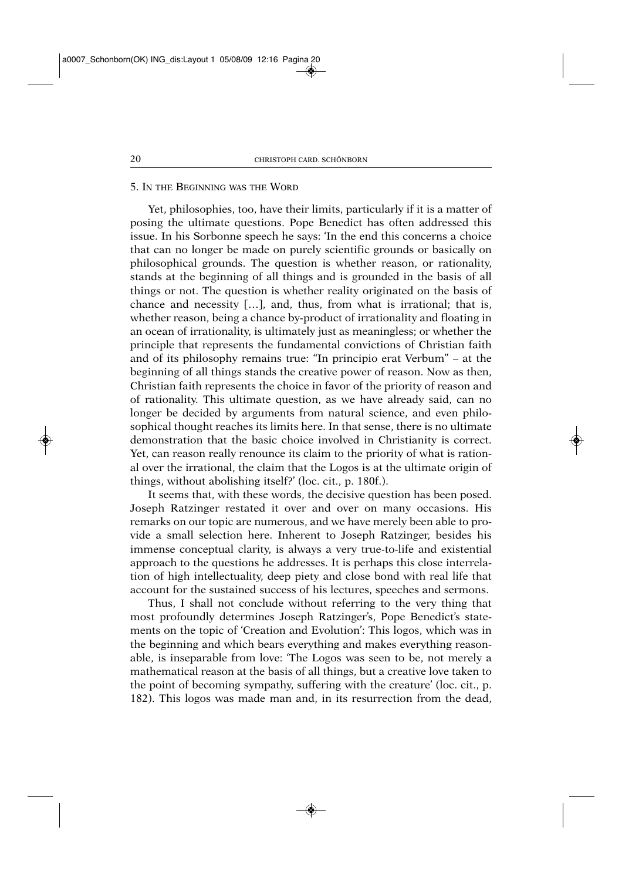### 5. IN THE BEGINNING WAS THE WORD

Yet, philosophies, too, have their limits, particularly if it is a matter of posing the ultimate questions. Pope Benedict has often addressed this issue. In his Sorbonne speech he says: 'In the end this concerns a choice that can no longer be made on purely scientific grounds or basically on philosophical grounds. The question is whether reason, or rationality, stands at the beginning of all things and is grounded in the basis of all things or not. The question is whether reality originated on the basis of chance and necessity […], and, thus, from what is irrational; that is, whether reason, being a chance by-product of irrationality and floating in an ocean of irrationality, is ultimately just as meaningless; or whether the principle that represents the fundamental convictions of Christian faith and of its philosophy remains true: "In principio erat Verbum" – at the beginning of all things stands the creative power of reason. Now as then, Christian faith represents the choice in favor of the priority of reason and of rationality. This ultimate question, as we have already said, can no longer be decided by arguments from natural science, and even philosophical thought reaches its limits here. In that sense, there is no ultimate demonstration that the basic choice involved in Christianity is correct. Yet, can reason really renounce its claim to the priority of what is rational over the irrational, the claim that the Logos is at the ultimate origin of things, without abolishing itself?' (loc. cit., p. 180f.).

It seems that, with these words, the decisive question has been posed. Joseph Ratzinger restated it over and over on many occasions. His remarks on our topic are numerous, and we have merely been able to provide a small selection here. Inherent to Joseph Ratzinger, besides his immense conceptual clarity, is always a very true-to-life and existential approach to the questions he addresses. It is perhaps this close interrelation of high intellectuality, deep piety and close bond with real life that account for the sustained success of his lectures, speeches and sermons.

Thus, I shall not conclude without referring to the very thing that most profoundly determines Joseph Ratzinger's, Pope Benedict's statements on the topic of 'Creation and Evolution': This logos, which was in the beginning and which bears everything and makes everything reasonable, is inseparable from love: 'The Logos was seen to be, not merely a mathematical reason at the basis of all things, but a creative love taken to the point of becoming sympathy, suffering with the creature' (loc. cit., p. 182). This logos was made man and, in its resurrection from the dead,